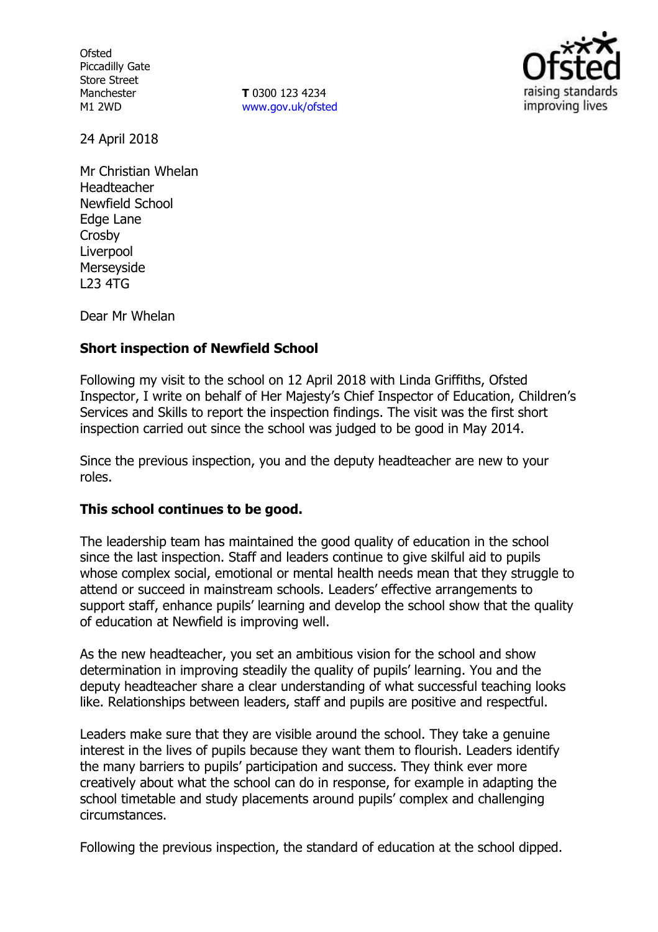**Ofsted** Piccadilly Gate Store Street Manchester M1 2WD

**T** 0300 123 4234 www.gov.uk/ofsted



24 April 2018

Mr Christian Whelan Headteacher Newfield School Edge Lane Crosby Liverpool Merseyside L23 4TG

Dear Mr Whelan

# **Short inspection of Newfield School**

Following my visit to the school on 12 April 2018 with Linda Griffiths, Ofsted Inspector, I write on behalf of Her Majesty's Chief Inspector of Education, Children's Services and Skills to report the inspection findings. The visit was the first short inspection carried out since the school was judged to be good in May 2014.

Since the previous inspection, you and the deputy headteacher are new to your roles.

## **This school continues to be good.**

The leadership team has maintained the good quality of education in the school since the last inspection. Staff and leaders continue to give skilful aid to pupils whose complex social, emotional or mental health needs mean that they struggle to attend or succeed in mainstream schools. Leaders' effective arrangements to support staff, enhance pupils' learning and develop the school show that the quality of education at Newfield is improving well.

As the new headteacher, you set an ambitious vision for the school and show determination in improving steadily the quality of pupils' learning. You and the deputy headteacher share a clear understanding of what successful teaching looks like. Relationships between leaders, staff and pupils are positive and respectful.

Leaders make sure that they are visible around the school. They take a genuine interest in the lives of pupils because they want them to flourish. Leaders identify the many barriers to pupils' participation and success. They think ever more creatively about what the school can do in response, for example in adapting the school timetable and study placements around pupils' complex and challenging circumstances.

Following the previous inspection, the standard of education at the school dipped.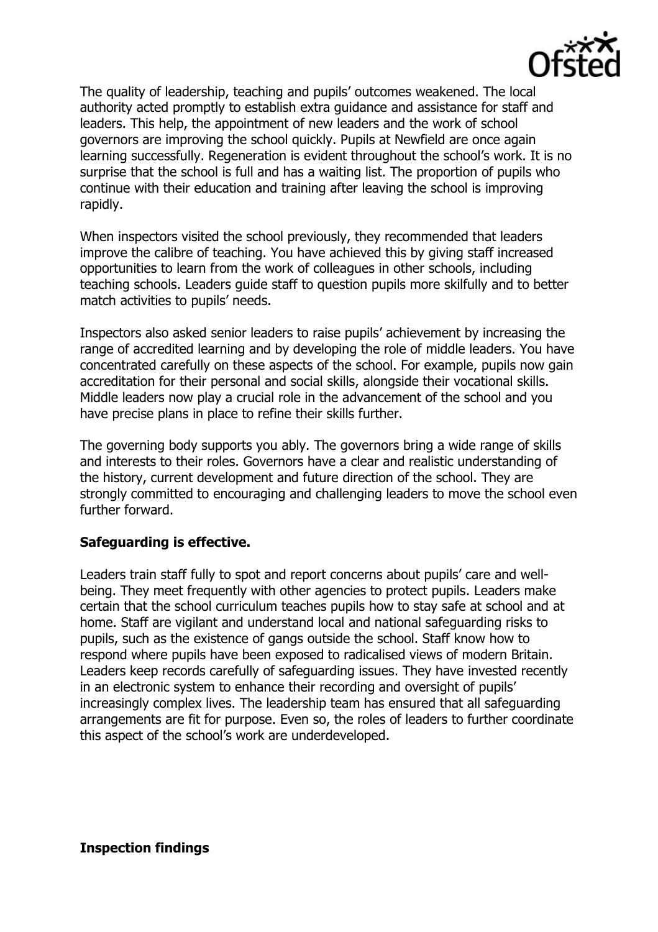

The quality of leadership, teaching and pupils' outcomes weakened. The local authority acted promptly to establish extra guidance and assistance for staff and leaders. This help, the appointment of new leaders and the work of school governors are improving the school quickly. Pupils at Newfield are once again learning successfully. Regeneration is evident throughout the school's work. It is no surprise that the school is full and has a waiting list. The proportion of pupils who continue with their education and training after leaving the school is improving rapidly.

When inspectors visited the school previously, they recommended that leaders improve the calibre of teaching. You have achieved this by giving staff increased opportunities to learn from the work of colleagues in other schools, including teaching schools. Leaders guide staff to question pupils more skilfully and to better match activities to pupils' needs.

Inspectors also asked senior leaders to raise pupils' achievement by increasing the range of accredited learning and by developing the role of middle leaders. You have concentrated carefully on these aspects of the school. For example, pupils now gain accreditation for their personal and social skills, alongside their vocational skills. Middle leaders now play a crucial role in the advancement of the school and you have precise plans in place to refine their skills further.

The governing body supports you ably. The governors bring a wide range of skills and interests to their roles. Governors have a clear and realistic understanding of the history, current development and future direction of the school. They are strongly committed to encouraging and challenging leaders to move the school even further forward.

# **Safeguarding is effective.**

Leaders train staff fully to spot and report concerns about pupils' care and wellbeing. They meet frequently with other agencies to protect pupils. Leaders make certain that the school curriculum teaches pupils how to stay safe at school and at home. Staff are vigilant and understand local and national safeguarding risks to pupils, such as the existence of gangs outside the school. Staff know how to respond where pupils have been exposed to radicalised views of modern Britain. Leaders keep records carefully of safeguarding issues. They have invested recently in an electronic system to enhance their recording and oversight of pupils' increasingly complex lives. The leadership team has ensured that all safeguarding arrangements are fit for purpose. Even so, the roles of leaders to further coordinate this aspect of the school's work are underdeveloped.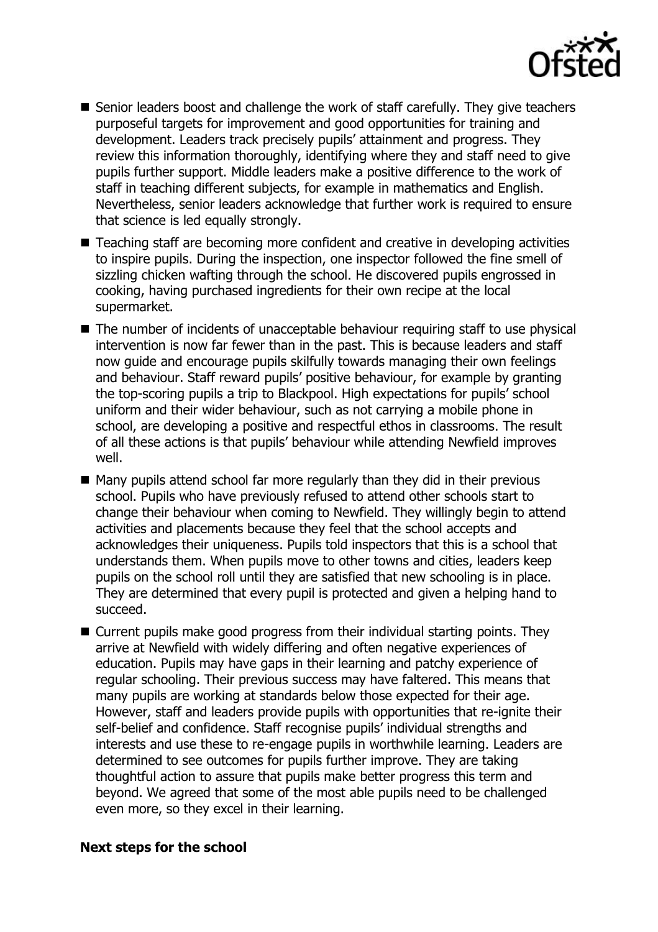

- Senior leaders boost and challenge the work of staff carefully. They give teachers purposeful targets for improvement and good opportunities for training and development. Leaders track precisely pupils' attainment and progress. They review this information thoroughly, identifying where they and staff need to give pupils further support. Middle leaders make a positive difference to the work of staff in teaching different subjects, for example in mathematics and English. Nevertheless, senior leaders acknowledge that further work is required to ensure that science is led equally strongly.
- Teaching staff are becoming more confident and creative in developing activities to inspire pupils. During the inspection, one inspector followed the fine smell of sizzling chicken wafting through the school. He discovered pupils engrossed in cooking, having purchased ingredients for their own recipe at the local supermarket.
- $\blacksquare$  The number of incidents of unacceptable behaviour requiring staff to use physical intervention is now far fewer than in the past. This is because leaders and staff now guide and encourage pupils skilfully towards managing their own feelings and behaviour. Staff reward pupils' positive behaviour, for example by granting the top-scoring pupils a trip to Blackpool. High expectations for pupils' school uniform and their wider behaviour, such as not carrying a mobile phone in school, are developing a positive and respectful ethos in classrooms. The result of all these actions is that pupils' behaviour while attending Newfield improves well.
- Many pupils attend school far more regularly than they did in their previous school. Pupils who have previously refused to attend other schools start to change their behaviour when coming to Newfield. They willingly begin to attend activities and placements because they feel that the school accepts and acknowledges their uniqueness. Pupils told inspectors that this is a school that understands them. When pupils move to other towns and cities, leaders keep pupils on the school roll until they are satisfied that new schooling is in place. They are determined that every pupil is protected and given a helping hand to succeed.
- Current pupils make good progress from their individual starting points. They arrive at Newfield with widely differing and often negative experiences of education. Pupils may have gaps in their learning and patchy experience of regular schooling. Their previous success may have faltered. This means that many pupils are working at standards below those expected for their age. However, staff and leaders provide pupils with opportunities that re-ignite their self-belief and confidence. Staff recognise pupils' individual strengths and interests and use these to re-engage pupils in worthwhile learning. Leaders are determined to see outcomes for pupils further improve. They are taking thoughtful action to assure that pupils make better progress this term and beyond. We agreed that some of the most able pupils need to be challenged even more, so they excel in their learning.

## **Next steps for the school**